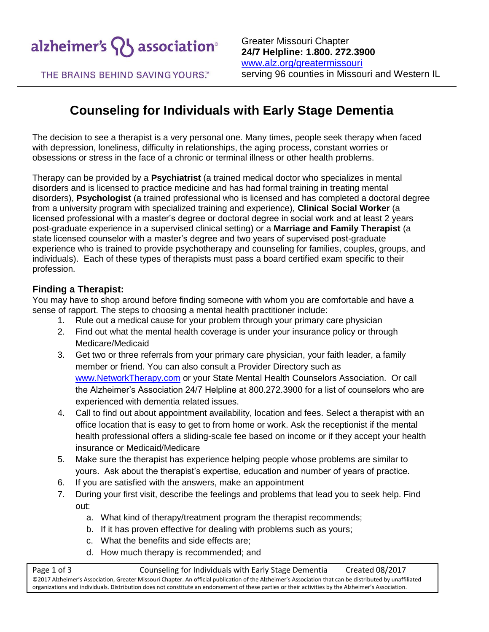

Greater Missouri Chapter **24/7 Helpline: 1.800. 272.3900** [www.alz.org/greatermissouri](http://www.alz.org/stl) serving 96 counties in Missouri and Western IL

THE BRAINS BEHIND SAVING YOURS.™

# **Counseling for Individuals with Early Stage Dementia**

The decision to see a therapist is a very personal one. Many times, people seek therapy when faced with depression, loneliness, difficulty in relationships, the aging process, constant worries or obsessions or stress in the face of a chronic or terminal illness or other health problems.

Therapy can be provided by a **Psychiatrist** (a trained medical doctor who specializes in mental disorders and is licensed to practice medicine and has had formal training in treating mental disorders), **Psychologist** (a trained professional who is licensed and has completed a doctoral degree from a university program with specialized training and experience), **Clinical Social Worker** (a licensed professional with a master's degree or doctoral degree in social work and at least 2 years post-graduate experience in a supervised clinical setting) or a **Marriage and Family Therapist** (a state licensed counselor with a master's degree and two years of supervised post-graduate experience who is trained to provide psychotherapy and counseling for families, couples, groups, and individuals). Each of these types of therapists must pass a board certified exam specific to their profession.

#### **Finding a Therapist:**

You may have to shop around before finding someone with whom you are comfortable and have a sense of rapport. The steps to choosing a mental health practitioner include:

- 1. Rule out a medical cause for your problem through your primary care physician
- 2. Find out what the mental health coverage is under your insurance policy or through Medicare/Medicaid
- 3. Get two or three referrals from your primary care physician, your faith leader, a family member or friend. You can also consult a Provider Directory such as [www.NetworkTherapy.com](http://www.networktherapy.com/) or your State Mental Health Counselors Association. Or call the Alzheimer's Association 24/7 Helpline at 800.272.3900 for a list of counselors who are experienced with dementia related issues.
- 4. Call to find out about appointment availability, location and fees. Select a therapist with an office location that is easy to get to from home or work. Ask the receptionist if the mental health professional offers a sliding-scale fee based on income or if they accept your health insurance or Medicaid/Medicare
- 5. Make sure the therapist has experience helping people whose problems are similar to yours. Ask about the therapist's expertise, education and number of years of practice.
- 6. If you are satisfied with the answers, make an appointment
- 7. During your first visit, describe the feelings and problems that lead you to seek help. Find out:
	- a. What kind of therapy/treatment program the therapist recommends;
	- b. If it has proven effective for dealing with problems such as yours;
	- c. What the benefits and side effects are;
	- d. How much therapy is recommended; and

Page 1 of 3 Counseling for Individuals with Early Stage Dementia Created 08/2017 ©2017 Alzheimer's Association, Greater Missouri Chapter. An official publication of the Alzheimer's Association that can be distributed by unaffiliated organizations and individuals. Distribution does not constitute an endorsement of these parties or their activities by the Alzheimer's Association.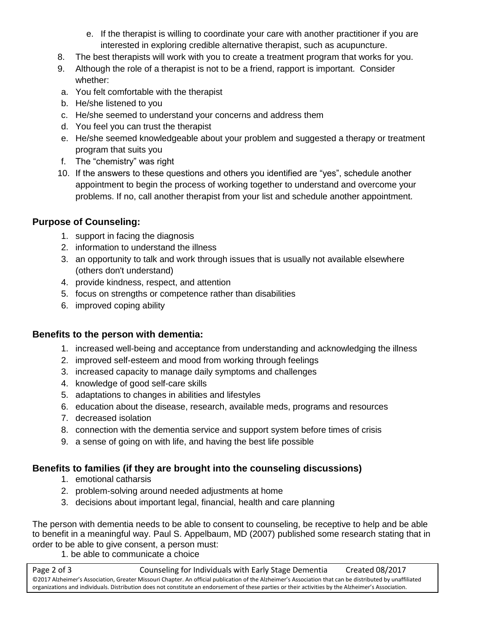- e. If the therapist is willing to coordinate your care with another practitioner if you are interested in exploring credible alternative therapist, such as acupuncture.
- 8. The best therapists will work with you to create a treatment program that works for you.
- 9. Although the role of a therapist is not to be a friend, rapport is important. Consider whether:
- a. You felt comfortable with the therapist
- b. He/she listened to you
- c. He/she seemed to understand your concerns and address them
- d. You feel you can trust the therapist
- e. He/she seemed knowledgeable about your problem and suggested a therapy or treatment program that suits you
- f. The "chemistry" was right
- 10. If the answers to these questions and others you identified are "yes", schedule another appointment to begin the process of working together to understand and overcome your problems. If no, call another therapist from your list and schedule another appointment.

# **Purpose of Counseling:**

- 1. support in facing the diagnosis
- 2. information to understand the illness
- 3. an opportunity to talk and work through issues that is usually not available elsewhere (others don't understand)
- 4. provide kindness, respect, and attention
- 5. focus on strengths or competence rather than disabilities
- 6. improved coping ability

## **Benefits to the person with dementia:**

- 1. increased well-being and acceptance from understanding and acknowledging the illness
- 2. improved self-esteem and mood from working through feelings
- 3. increased capacity to manage daily symptoms and challenges
- 4. knowledge of good self-care skills
- 5. adaptations to changes in abilities and lifestyles
- 6. education about the disease, research, available meds, programs and resources
- 7. decreased isolation
- 8. connection with the dementia service and support system before times of crisis
- 9. a sense of going on with life, and having the best life possible

## **Benefits to families (if they are brought into the counseling discussions)**

- 1. emotional catharsis
- 2. problem-solving around needed adjustments at home
- 3. decisions about important legal, financial, health and care planning

The person with dementia needs to be able to consent to counseling, be receptive to help and be able to benefit in a meaningful way. Paul S. Appelbaum, MD (2007) published some research stating that in order to be able to give consent, a person must:

1. be able to communicate a choice

Page 2 of 3 Counseling for Individuals with Early Stage Dementia Created 08/2017 ©2017 Alzheimer's Association, Greater Missouri Chapter. An official publication of the Alzheimer's Association that can be distributed by unaffiliated organizations and individuals. Distribution does not constitute an endorsement of these parties or their activities by the Alzheimer's Association.